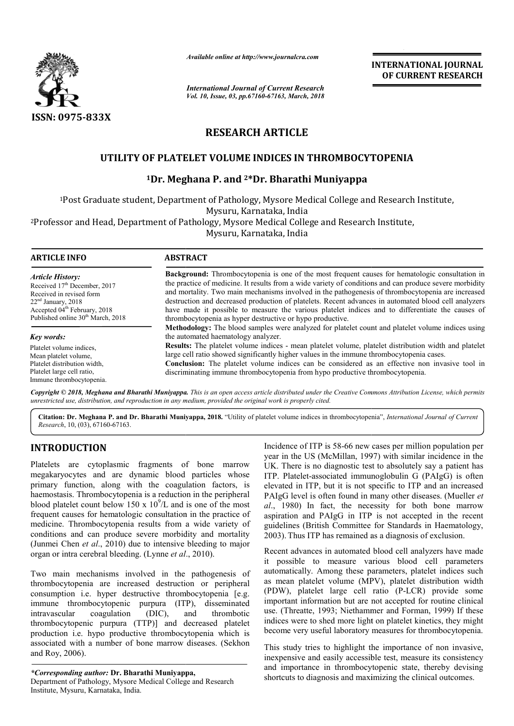

*Available online at http://www.journalcra.com*

*International Journal of Current Research Vol. 10, Issue, 03, pp.67160-67163, March, 2018* **INTERNATIONAL JOURNAL OF CURRENT RESEARCH**

# **RESEARCH ARTICLE**

# **UTILITY OF PLATELET VOLUME INDICES IN THROMBOCYTOPENIA THROMBOCYTOPENIA**

### **1Dr. Meghana P. and 2\*Dr. Bharathi Muniyappa**

1Post Graduate student, Department of Pathology, Mysore Medical College and Research Institute, Mysuru, Karnataka, India e student, Department of Pathology, Mysore Medical College and Research<br>Mysuru, Karnataka, India<br>Department of Pathology, Mysore Medical College and Research Institute,

2Professor and Head, Department of Pathology, Mysore Medical College and Research Institute, Professor Mysuru, Karnataka, India

| <b>ARTICLE INFO</b>                                                                                                                                                                                 | <b>ABSTRACT</b>                                                                                                                                                                                                                                                                                                                                                                                                                                                                                                                                                                                                                                                                                                                             |  |
|-----------------------------------------------------------------------------------------------------------------------------------------------------------------------------------------------------|---------------------------------------------------------------------------------------------------------------------------------------------------------------------------------------------------------------------------------------------------------------------------------------------------------------------------------------------------------------------------------------------------------------------------------------------------------------------------------------------------------------------------------------------------------------------------------------------------------------------------------------------------------------------------------------------------------------------------------------------|--|
| Article History:<br>Received $17th$ December, 2017<br>Received in revised form<br>$22nd$ January, 2018<br>Accepted 04 <sup>th</sup> February, 2018<br>Published online 30 <sup>th</sup> March, 2018 | Background: Thrombocytopenia is one of the most frequent causes for hematologic consultation in<br>the practice of medicine. It results from a wide variety of conditions and can produce severe morbidity<br>and mortality. Two main mechanisms involved in the pathogenesis of thrombocytopenia are increased<br>destruction and decreased production of platelets. Recent advances in automated blood cell analyzers<br>have made it possible to measure the various platelet indices and to differentiate the causes of<br>thrombocytopenia as hyper destructive or hypo productive.<br><b>Methodology:</b> The blood samples were analyzed for platelet count and platelet volume indices using<br>the automated haematology analyzer. |  |
| Key words:                                                                                                                                                                                          |                                                                                                                                                                                                                                                                                                                                                                                                                                                                                                                                                                                                                                                                                                                                             |  |
| Platelet volume indices.<br>Mean platelet volume,<br>Platelet distribution width.<br>Platelet large cell ratio.<br>Immune thrombocytopenia.                                                         | <b>Results:</b> The platelet volume indices - mean platelet volume, platelet distribution width and platelet<br>large cell ratio showed significantly higher values in the immune thrombocytopenia cases.<br><b>Conclusion:</b> The platelet volume indices can be considered as an effective non invasive tool in<br>discriminating immune thrombocytopenia from hypo productive thrombocytopenia.                                                                                                                                                                                                                                                                                                                                         |  |

Copyright © 2018, Meghana and Bharathi Muniyappa. This is an open access article distributed under the Creative Commons Attribution License, which permits *unrestricted use, distribution, and reproduction in any medium, provided the original work is properly cited.*

Citation: Dr. Meghana P. and Dr. Bharathi Muniyappa, 2018. "Utility of platelet volume indices in thrombocytopenia", *International Journal of Current Research*, 10, (03), 67160-67163.

# **INTRODUCTION**

Platelets are cytoplasmic fragments of bone marrow megakaryocytes and are dynamic blood particles whose primary function, along with the coagulation factors, is haemostasis. Thrombocytopenia is a reduction in the peripheral blood platelet count below 150 x  $10^9$ /L and is one of the most frequent causes for hematologic consultation in the practice of medicine. Thrombocytopenia results from a wide variety of conditions and can produce severe morbidity and mortality (Junmei Chen *et al*., 2010) due to intensive bleeding to major organ or intra cerebral bleeding. (Lynne *et al* ., 2010).

Two main mechanisms involved in the pathogenesis of thrombocytopenia are increased destruction or peripheral consumption i.e. hyper destructive thrombocytopenia [e.g. immune thrombocytopenic purpura (ITP), disseminated intravascular coagulation (DIC), and thrombocytopenic purpura (TTP)] and decreased platelet production i.e. hypo productive thrombocytopenia which is associated with a number of bone marrow diseases. (Sekhon and Roy, 2006). thrombotic

*\*Corresponding author:* **Dr. Bharathi Muniyappa,** Department of Pathology, Mysore Medical College and Research Institute, Mysuru, Karnataka, India.

Incidence of ITP is 58-66 new cases per million population per Incidence of ITP is 58-66 new cases per million population per year in the US (McMillan, 1997) with similar incidence in the UK. There is no diagnostic test to absolutely say a patient has ITP. Platelet-associated immunoglobulin G (PAIgG) is often elevated in ITP, but it is not specific to ITP and an increased PAIgG level is often found in many other diseases. (Mueller *et al*., 1980) In fact, the necessity for both bone marrow aspiration and PAIgG in ITP is not accepted in the recent guidelines (British Committee for Standards in Haematology, 2003). Thus ITP has remained as a diagnosis of exclusion.

Recent advances in automated blood cell analyzers have made it possible to measure various blood cell parameters automatically. Among these parameters, platelet indices such as mean platelet volume (MPV), platelet distribution width (PDW), platelet large cell ratio (P-LCR) provide some important information but are not accepted for routine clinical use. (Threatte, 1993; Niethammer and Forman, 1999) If these indices were to shed more light on platelet kinetics, they might become very useful laboratory measures for thrombocytopenia.

This study tries to highlight the importance of non invasive, inexpensive and easily accessible test, measure its consistency and importance in thrombocytopenic state, thereby devising shortcuts to diagnosis and maximizing the clinical outcomes.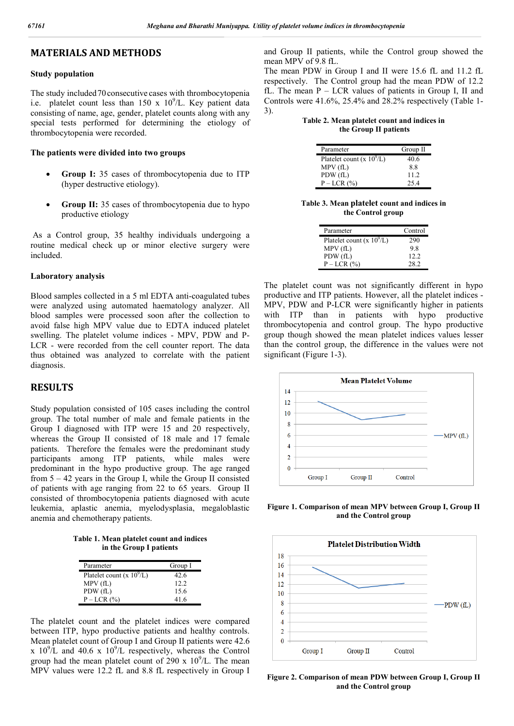# **MATERIALS AND METHODS**

#### **Study population**

The study included70consecutive cases with thrombocytopenia i.e. platelet count less than  $150 \times 10^9$ /L. Key patient data consisting of name, age, gender, platelet counts along with any special tests performed for determining the etiology of thrombocytopenia were recorded.

#### **The patients were divided into two groups**

- **Group I:** 35 cases of thrombocytopenia due to ITP (hyper destructive etiology).
- **Group II:** 35 cases of thrombocytopenia due to hypo productive etiology

As a Control group, 35 healthy individuals undergoing a routine medical check up or minor elective surgery were included.

#### **Laboratory analysis**

Blood samples collected in a 5 ml EDTA anti-coagulated tubes were analyzed using automated haematology analyzer. All blood samples were processed soon after the collection to avoid false high MPV value due to EDTA induced platelet swelling. The platelet volume indices - MPV, PDW and P-LCR - were recorded from the cell counter report. The data thus obtained was analyzed to correlate with the patient diagnosis.

### **RESULTS**

Study population consisted of 105 cases including the control group. The total number of male and female patients in the Group I diagnosed with ITP were 15 and 20 respectively, whereas the Group II consisted of 18 male and 17 female patients. Therefore the females were the predominant study participants among ITP patients, while males were predominant in the hypo productive group. The age ranged from 5 – 42 years in the Group I, while the Group II consisted of patients with age ranging from 22 to 65 years. Group II consisted of thrombocytopenia patients diagnosed with acute leukemia, aplastic anemia, myelodysplasia, megaloblastic anemia and chemotherapy patients.

**Table 1. Mean platelet count and indices in the Group I patients**

| Parameter                    | Group I |
|------------------------------|---------|
| Platelet count (x $10^9$ /L) | 42.6    |
| MPV (fL)                     | 12.2    |
| PDW (fL)                     | 15.6    |
| $P-LCR(%)$                   | 416     |

The platelet count and the platelet indices were compared between ITP, hypo productive patients and healthy controls. Mean platelet count of Group I and Group II patients were 42.6 x  $10^{9}/L$  and  $40.6$  x  $10^{9}/L$  respectively, whereas the Control group had the mean platelet count of  $290 \times 10^9$ /L. The mean MPV values were 12.2 fL and 8.8 fL respectively in Group I and Group II patients, while the Control group showed the mean MPV of 9.8 fL.

The mean PDW in Group I and II were 15.6 fL and 11.2 fL respectively. The Control group had the mean PDW of 12.2 fL. The mean P – LCR values of patients in Group I, II and Controls were 41.6%, 25.4% and 28.2% respectively (Table 1- 3).

**Table 2. Mean platelet count and indices in the Group II patients**

| Parameter                    | Group II |
|------------------------------|----------|
| Platelet count (x $10^9$ /L) | 40.6     |
| MPV(fL)                      | 88       |
| PDW (fL)                     | 112      |
| $P-LCR(%)$                   | 25.4     |

**Table 3. Mean platelet count and indices in the Control group**

| Parameter                    | Control |
|------------------------------|---------|
| Platelet count (x $10^9$ /L) | 290     |
| MPV(fL)                      | 9.8     |
| PDW (fL)                     | 12.2    |
| $P-LCR(%)$                   | 28 2    |

The platelet count was not significantly different in hypo productive and ITP patients. However, all the platelet indices - MPV, PDW and P-LCR were significantly higher in patients with ITP than in patients with hypo productive thrombocytopenia and control group. The hypo productive group though showed the mean platelet indices values lesser than the control group, the difference in the values were not significant (Figure 1-3).



**Figure 1. Comparison of mean MPV between Group I, Group II and the Control group**



**Figure 2. Comparison of mean PDW between Group I, Group II and the Control group**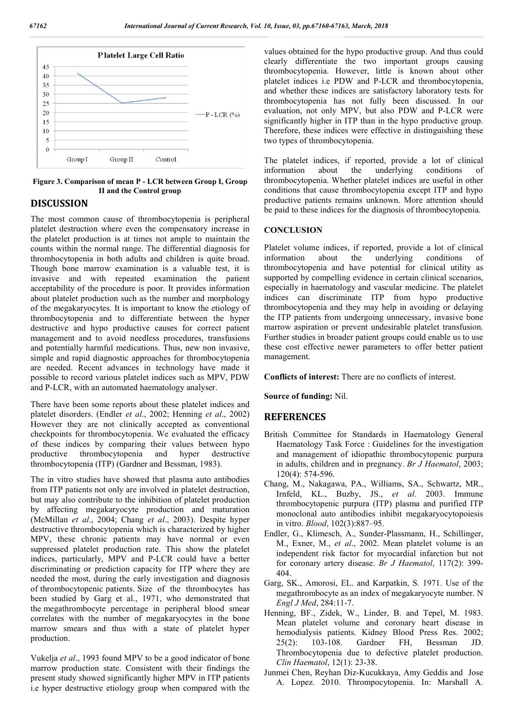

**Figure 3. Comparison of mean P - LCR between Group I, Group II and the Control group**

### **DISCUSSION**

The most common cause of thrombocytopenia is peripheral platelet destruction where even the compensatory increase in the platelet production is at times not ample to maintain the counts within the normal range. The differential diagnosis for thrombocytopenia in both adults and children is quite broad. Though bone marrow examination is a valuable test, it is invasive and with repeated examination the patient acceptability of the procedure is poor. It provides information about platelet production such as the number and morphology of the megakaryocytes. It is important to know the etiology of thrombocytopenia and to differentiate between the hyper destructive and hypo productive causes for correct patient management and to avoid needless procedures, transfusions and potentially harmful medications. Thus, new non invasive, simple and rapid diagnostic approaches for thrombocytopenia are needed. Recent advances in technology have made it possible to record various platelet indices such as MPV, PDW and P-LCR, with an automated haematology analyser.

There have been some reports about these platelet indices and platelet disorders. (Endler *et al*., 2002; Henning *et al*., 2002) However they are not clinically accepted as conventional checkpoints for thrombocytopenia. We evaluated the efficacy of these indices by comparing their values between hypo productive thrombocytopenia and hyper destructive thrombocytopenia (ITP) (Gardner and Bessman, 1983).

The in vitro studies have showed that plasma auto antibodies from ITP patients not only are involved in platelet destruction, but may also contribute to the inhibition of platelet production by affecting megakaryocyte production and maturation (McMillan *et al*., 2004; Chang *et al*., 2003). Despite hyper destructive thrombocytopenia which is characterized by higher MPV, these chronic patients may have normal or even suppressed platelet production rate. This show the platelet indices, particularly, MPV and P-LCR could have a better discriminating or prediction capacity for ITP where they are needed the most, during the early investigation and diagnosis of thrombocytopenic patients. Size of the thrombocytes has been studied by Garg et al., 1971, who demonstrated that the megathrombocyte percentage in peripheral blood smear correlates with the number of megakaryocytes in the bone marrow smears and thus with a state of platelet hyper production.

Vukelja *et al*., 1993 found MPV to be a good indicator of bone marrow production state. Consistent with their findings the present study showed significantly higher MPV in ITP patients i.e hyper destructive etiology group when compared with the

values obtained for the hypo productive group. And thus could clearly differentiate the two important groups causing thrombocytopenia. However, little is known about other platelet indices i.e PDW and P-LCR and thrombocytopenia, and whether these indices are satisfactory laboratory tests for thrombocytopenia has not fully been discussed. In our evaluation, not only MPV, but also PDW and P-LCR were significantly higher in ITP than in the hypo productive group. Therefore, these indices were effective in distinguishing these two types of thrombocytopenia.

The platelet indices, if reported, provide a lot of clinical information about the underlying conditions of thrombocytopenia. Whether platelet indices are useful in other conditions that cause thrombocytopenia except ITP and hypo productive patients remains unknown. More attention should be paid to these indices for the diagnosis of thrombocytopenia.

#### **CONCLUSION**

Platelet volume indices, if reported, provide a lot of clinical information about the underlying conditions of thrombocytopenia and have potential for clinical utility as supported by compelling evidence in certain clinical scenarios, especially in haematology and vascular medicine. The platelet indices can discriminate ITP from hypo productive thrombocytopenia and they may help in avoiding or delaying the ITP patients from undergoing unnecessary, invasive bone marrow aspiration or prevent undesirable platelet transfusion. Further studies in broader patient groups could enable us to use these cost effective newer parameters to offer better patient management.

**Conflicts of interest:** There are no conflicts of interest.

**Source of funding:** Nil.

#### **REFERENCES**

- British Committee for Standards in Haematology General Haematology Task Force : Guidelines for the investigation and management of idiopathic thrombocytopenic purpura in adults, children and in pregnancy. *Br J Haematol*, 2003; 120(4): 574-596.
- Chang, M., Nakagawa, PA., Williams, SA., Schwartz, MR., Irnfeld, KL., Buzby, JS., *et al*. 2003. Immune thrombocytopenic purpura (ITP) plasma and purified ITP monoclonal auto antibodies inhibit megakaryocytopoiesis in vitro. *Blood*, 102(3):887–95.
- Endler, G., Klimesch, A., Sunder-Plassmann, H., Schillinger, M., Exner, M., *et al*., 2002. Mean platelet volume is an independent risk factor for myocardial infarction but not for coronary artery disease. *Br J Haematol*, 117(2): 399- 404.
- Garg, SK., Amorosi, EL. and Karpatkin, S. 1971. Use of the megathrombocyte as an index of megakaryocyte number. N *Engl J Med*, 284:11-7.
- Henning, BF., Zidek, W., Linder, B. and Tepel, M. 1983. Mean platelet volume and coronary heart disease in hemodialysis patients. Kidney Blood Press Res. 2002; 25(2): 103-108. Gardner FH, Bessman JD. Thrombocytopenia due to defective platelet production. *Clin Haematol*, 12(1): 23-38.
- Junmei Chen, Reyhan Diz-Kucukkaya, Amy Geddis and Jose A. Lopez. 2010. Thrompocytopenia. In: Marshall A.